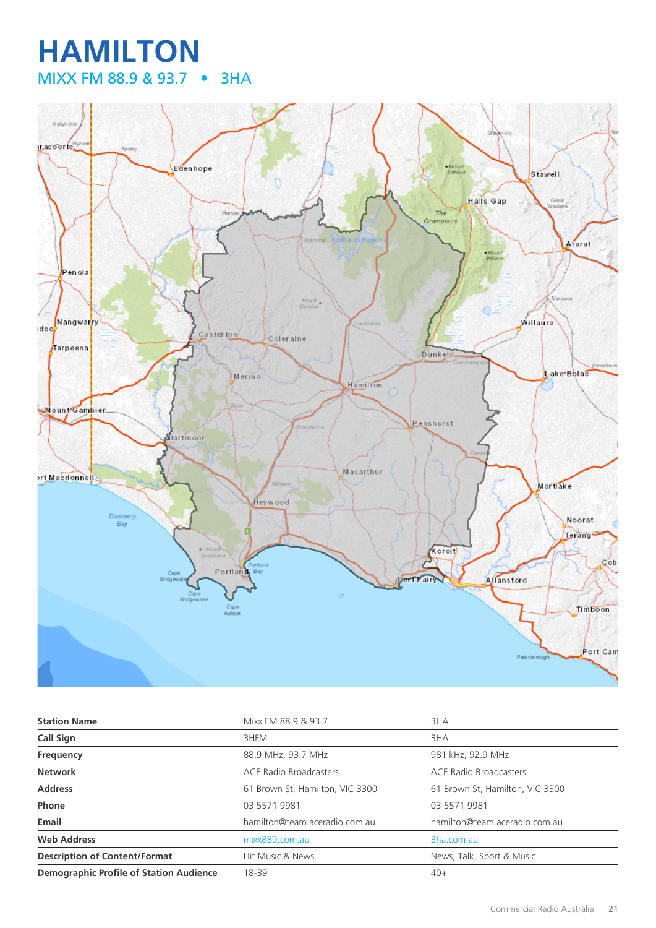## **HAMILTON** MIXX FM 88.9 & 93.7 • 3HA



| <b>Station Name</b>                            | Mixx FM 88.9 & 93.7             | 3HA                             |
|------------------------------------------------|---------------------------------|---------------------------------|
| Call Sign                                      | 3HFM                            | 3HA                             |
| Frequency                                      | 88.9 MHz, 93.7 MHz              | 981 kHz, 92.9 MHz               |
| <b>Network</b>                                 | <b>ACE Radio Broadcasters</b>   | ACE Radio Broadcasters          |
| <b>Address</b>                                 | 61 Brown St, Hamilton, VIC 3300 | 61 Brown St, Hamilton, VIC 3300 |
| Phone                                          | 03 5571 9981                    | 03 5571 9981                    |
| Email                                          | hamilton@team.aceradio.com.au   | hamilton@team.aceradio.com.au   |
| <b>Web Address</b>                             | mixx889.com.au                  | 3ha.com.au                      |
| <b>Description of Content/Format</b>           | Hit Music & News                | News, Talk, Sport & Music       |
| <b>Demographic Profile of Station Audience</b> | 18-39                           | $40+$                           |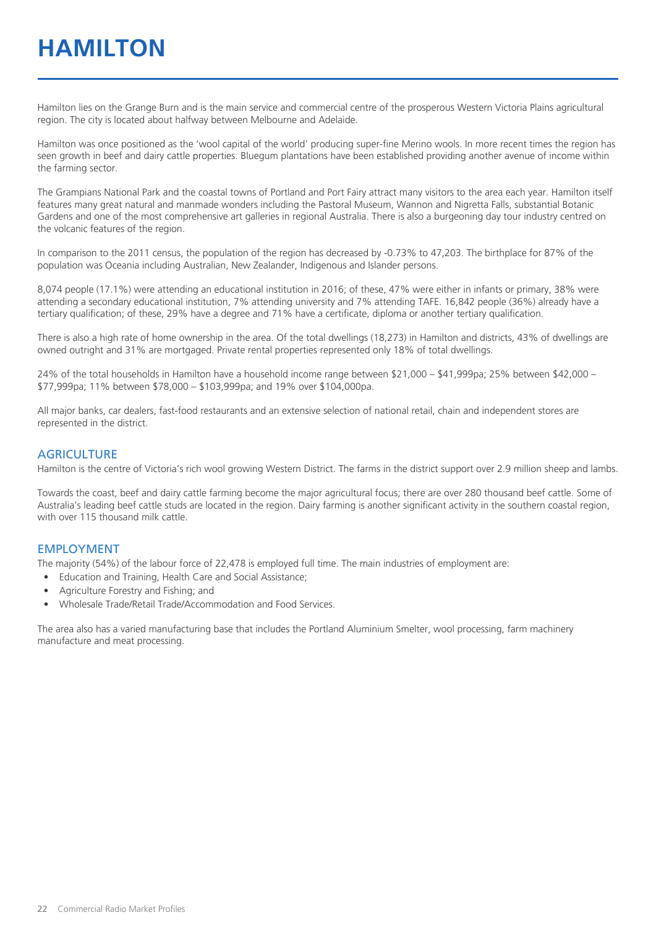# **HAMILTON**

Hamilton lies on the Grange Burn and is the main service and commercial centre of the prosperous Western Victoria Plains agricultural region. The city is located about halfway between Melbourne and Adelaide.

Hamilton was once positioned as the 'wool capital of the world' producing super-fine Merino wools. In more recent times the region has seen growth in beef and dairy cattle properties. Bluegum plantations have been established providing another avenue of income within the farming sector.

The Grampians National Park and the coastal towns of Portland and Port Fairy attract many visitors to the area each year. Hamilton itself features many great natural and manmade wonders including the Pastoral Museum, Wannon and Nigretta Falls, substantial Botanic Gardens and one of the most comprehensive art galleries in regional Australia. There is also a burgeoning day tour industry centred on the volcanic features of the region.

In comparison to the 2011 census, the population of the region has decreased by -0.73% to 47,203. The birthplace for 87% of the population was Oceania including Australian, New Zealander, Indigenous and Islander persons.

8,074 people (17.1%) were attending an educational institution in 2016; of these, 47% were either in infants or primary, 38% were attending a secondary educational institution, 7% attending university and 7% attending TAFE. 16,842 people (36%) already have a tertiary qualification; of these, 29% have a degree and 71% have a certificate, diploma or another tertiary qualification.

There is also a high rate of home ownership in the area. Of the total dwellings (18,273) in Hamilton and districts, 43% of dwellings are owned outright and 31% are mortgaged. Private rental properties represented only 18% of total dwellings.

24% of the total households in Hamilton have a household income range between \$21,000 – \$41,999pa; 25% between \$42,000 – \$77,999pa; 11% between \$78,000 – \$103,999pa; and 19% over \$104,000pa.

All major banks, car dealers, fast-food restaurants and an extensive selection of national retail, chain and independent stores are represented in the district.

#### **AGRICULTURE**

Hamilton is the centre of Victoria's rich wool growing Western District. The farms in the district support over 2.9 million sheep and lambs.

Towards the coast, beef and dairy cattle farming become the major agricultural focus; there are over 280 thousand beef cattle. Some of Australia's leading beef cattle studs are located in the region. Dairy farming is another significant activity in the southern coastal region, with over 115 thousand milk cattle.

#### EMPLOYMENT

The majority (54%) of the labour force of 22,478 is employed full time. The main industries of employment are:

- Education and Training, Health Care and Social Assistance;
- Agriculture Forestry and Fishing; and
- Wholesale Trade/Retail Trade/Accommodation and Food Services.

The area also has a varied manufacturing base that includes the Portland Aluminium Smelter, wool processing, farm machinery manufacture and meat processing.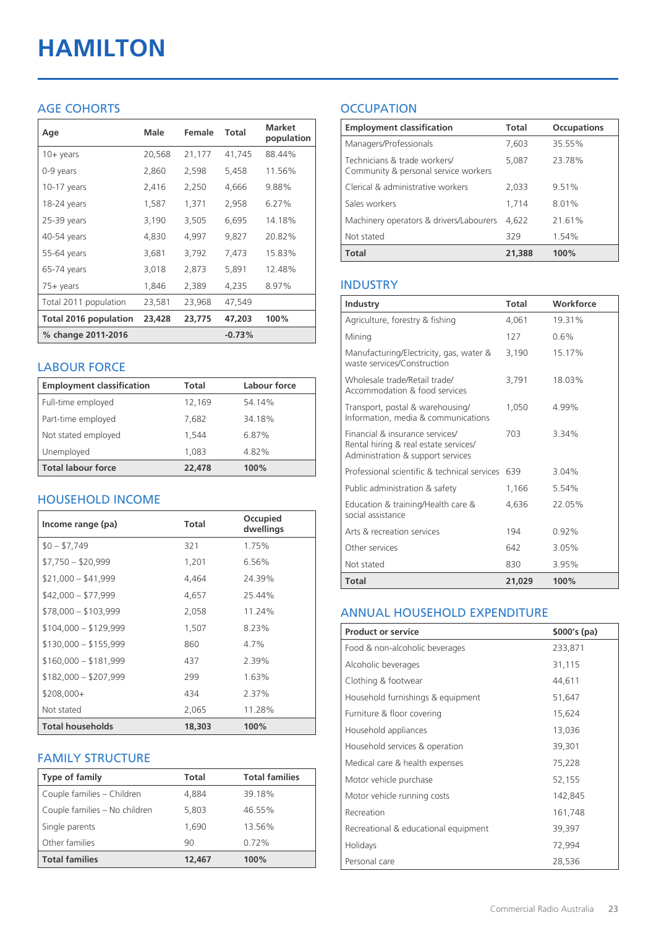# **HAMILTON**

#### AGE COHORTS

| Age                   | Male   | Female | Total    | <b>Market</b><br>population |
|-----------------------|--------|--------|----------|-----------------------------|
| $10 +$ years          | 20,568 | 21,177 | 41,745   | 88.44%                      |
| 0-9 years             | 2,860  | 2,598  | 5,458    | 11.56%                      |
| 10-17 years           | 2,416  | 2,250  | 4,666    | 9.88%                       |
| 18-24 years           | 1,587  | 1,371  | 2,958    | 6.27%                       |
| 25-39 years           | 3,190  | 3,505  | 6,695    | 14.18%                      |
| 40-54 years           | 4,830  | 4,997  | 9,827    | 20.82%                      |
| 55-64 years           | 3,681  | 3,792  | 7,473    | 15.83%                      |
| 65-74 years           | 3,018  | 2,873  | 5,891    | 12.48%                      |
| 75+ years             | 1,846  | 2,389  | 4,235    | 8.97%                       |
| Total 2011 population | 23,581 | 23,968 | 47,549   |                             |
| Total 2016 population | 23,428 | 23,775 | 47,203   | 100%                        |
| % change 2011-2016    |        |        | $-0.73%$ |                             |

#### LABOUR FORCE

| <b>Employment classification</b> | Total  | Labour force |
|----------------------------------|--------|--------------|
| Full-time employed               | 12,169 | 54.14%       |
| Part-time employed               | 7,682  | 34.18%       |
| Not stated employed              | 1.544  | 6.87%        |
| Unemployed                       | 1,083  | 4.82%        |
| <b>Total labour force</b>        | 22,478 | 100%         |

#### HOUSEHOLD INCOME

| Income range (pa)       | Total  | Occupied<br>dwellings |
|-------------------------|--------|-----------------------|
| $$0 - $7,749$           | 321    | 1.75%                 |
| $$7,750 - $20,999$      | 1.201  | 6.56%                 |
| $$21,000 - $41,999$     | 4,464  | 24.39%                |
| $$42,000 - $77,999$     | 4,657  | 25.44%                |
| $$78,000 - $103,999$    | 2,058  | 11.24%                |
| $$104,000 - $129,999$   | 1,507  | 8.23%                 |
| $$130,000 - $155,999$   | 860    | $4.7\%$               |
| $$160,000 - $181,999$   | 437    | 2.39%                 |
| $$182,000 - $207,999$   | 299    | 1.63%                 |
| \$208,000+              | 434    | 2.37%                 |
| Not stated              | 2,065  | 11.28%                |
| <b>Total households</b> | 18,303 | 100%                  |

#### FAMILY STRUCTURE

| <b>Type of family</b>         | Total  | <b>Total families</b> |
|-------------------------------|--------|-----------------------|
| Couple families - Children    | 4,884  | 39.18%                |
| Couple families - No children | 5,803  | 46.55%                |
| Single parents                | 1.690  | 13.56%                |
| Other families                | 90     | 0.72%                 |
| <b>Total families</b>         | 12,467 | 100%                  |

### **OCCUPATION**

| <b>Employment classification</b>                                     | Total  | <b>Occupations</b> |
|----------------------------------------------------------------------|--------|--------------------|
| Managers/Professionals                                               | 7.603  | 35.55%             |
| Technicians & trade workers/<br>Community & personal service workers | 5,087  | 23.78%             |
| Clerical & administrative workers                                    | 2,033  | 9.51%              |
| Sales workers                                                        | 1.714  | 8.01%              |
| Machinery operators & drivers/Labourers                              | 4.622  | 21.61%             |
| Not stated                                                           | 329    | 1.54%              |
| <b>Total</b>                                                         | 21,388 | 100%               |

#### INDUSTRY

| Industry                                                                                                      | Total  | Workforce |
|---------------------------------------------------------------------------------------------------------------|--------|-----------|
| Agriculture, forestry & fishing                                                                               | 4,061  | 19.31%    |
| Mining                                                                                                        | 127    | 0.6%      |
| Manufacturing/Electricity, gas, water &<br>waste services/Construction                                        | 3,190  | 15.17%    |
| Wholesale trade/Retail trade/<br>Accommodation & food services                                                | 3.791  | 18.03%    |
| Transport, postal & warehousing/<br>Information, media & communications                                       | 1,050  | 4.99%     |
| Financial & insurance services/<br>Rental hiring & real estate services/<br>Administration & support services | 703    | 3.34%     |
| Professional scientific & technical services                                                                  | 639    | 3.04%     |
| Public administration & safety                                                                                | 1,166  | 5.54%     |
| Education & training/Health care &<br>social assistance                                                       | 4.636  | 22.05%    |
| Arts & recreation services                                                                                    | 194    | 0.92%     |
| Other services                                                                                                | 642    | 3.05%     |
| Not stated                                                                                                    | 830    | 3.95%     |
| Total                                                                                                         | 21,029 | 100%      |

#### ANNUAL HOUSEHOLD EXPENDITURE

| <b>Product or service</b>            | $$000's$ (pa) |
|--------------------------------------|---------------|
| Food & non-alcoholic beverages       | 233,871       |
| Alcoholic beverages                  | 31,115        |
| Clothing & footwear                  | 44,611        |
| Household furnishings & equipment    | 51,647        |
| Furniture & floor covering           | 15,624        |
| Household appliances                 | 13,036        |
| Household services & operation       | 39,301        |
| Medical care & health expenses       | 75,228        |
| Motor vehicle purchase               | 52,155        |
| Motor vehicle running costs          | 142,845       |
| Recreation                           | 161,748       |
| Recreational & educational equipment | 39,397        |
| Holidays                             | 72,994        |
| Personal care                        | 28,536        |